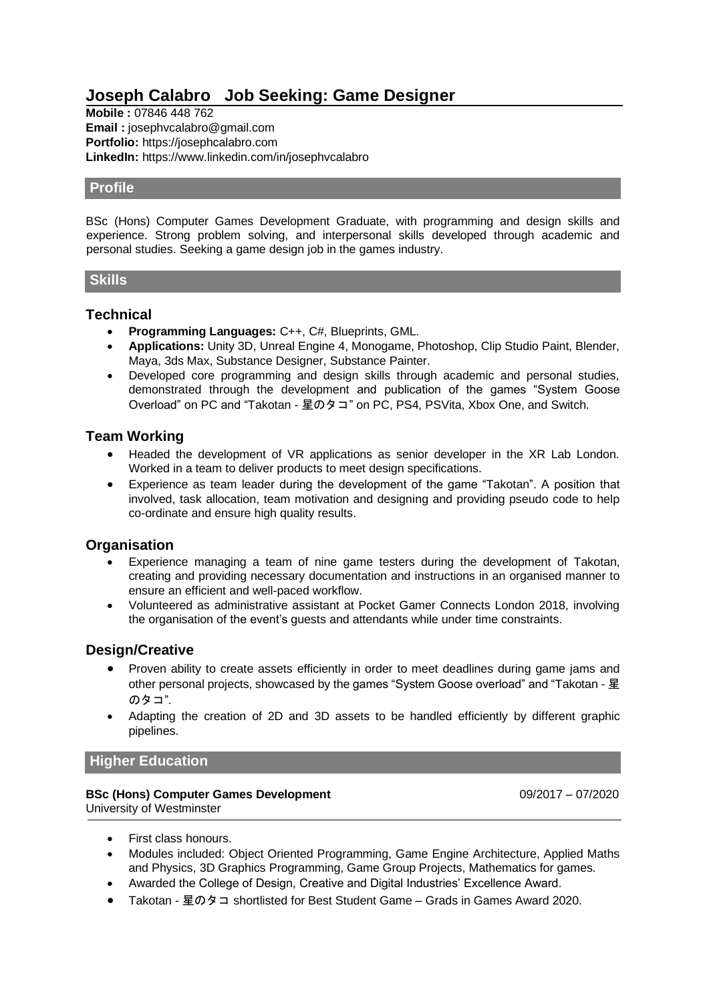# **Joseph Calabro Job Seeking: Game Designer**

**Mobile :** 07846 448 762 **Email :** [josephvcalabro@gmail.com](mailto:josephvcalabro@gmail.com) **Portfolio:** [https://josephcalabro.com](https://josephcalabro.com/) **LinkedIn:** https://www.linkedin.com/in/josephvcalabro

# **Profile**

BSc (Hons) Computer Games Development Graduate, with programming and design skills and experience. Strong problem solving, and interpersonal skills developed through academic and personal studies. Seeking a game design job in the games industry.

## **Skills**

# **Technical**

- **Programming Languages:** C++, C#, Blueprints, GML.
- **Applications:** Unity 3D, Unreal Engine 4, Monogame, Photoshop, Clip Studio Paint, Blender, Maya, 3ds Max, Substance Designer, Substance Painter.
- Developed core programming and design skills through academic and personal studies, demonstrated through the development and publication of the games "System Goose Overload" on PC and "Takotan - 星のタコ" on PC, PS4, PSVita, Xbox One, and Switch.

# **Team Working**

- Headed the development of VR applications as senior developer in the XR Lab London. Worked in a team to deliver products to meet design specifications.
- Experience as team leader during the development of the game "Takotan". A position that involved, task allocation, team motivation and designing and providing pseudo code to help co-ordinate and ensure high quality results.

# **Organisation**

- Experience managing a team of nine game testers during the development of Takotan, creating and providing necessary documentation and instructions in an organised manner to ensure an efficient and well-paced workflow.
- Volunteered as administrative assistant at Pocket Gamer Connects London 2018, involving the organisation of the event's guests and attendants while under time constraints.

# **Design/Creative**

- Proven ability to create assets efficiently in order to meet deadlines during game jams and other personal projects, showcased by the games "System Goose overload" and "Takotan - 星 のタコ".
- Adapting the creation of 2D and 3D assets to be handled efficiently by different graphic pipelines.

# **Higher Education**

#### **BSc (Hons) Computer Games Development** 09/2017 – 07/2020 University of Westminster

- First class honours.
- Modules included: Object Oriented Programming, Game Engine Architecture, Applied Maths and Physics, 3D Graphics Programming, Game Group Projects, Mathematics for games.
- Awarded the College of Design, Creative and Digital Industries' Excellence Award.
- Takotan 星のタコ shortlisted for Best Student Game Grads in Games Award 2020.